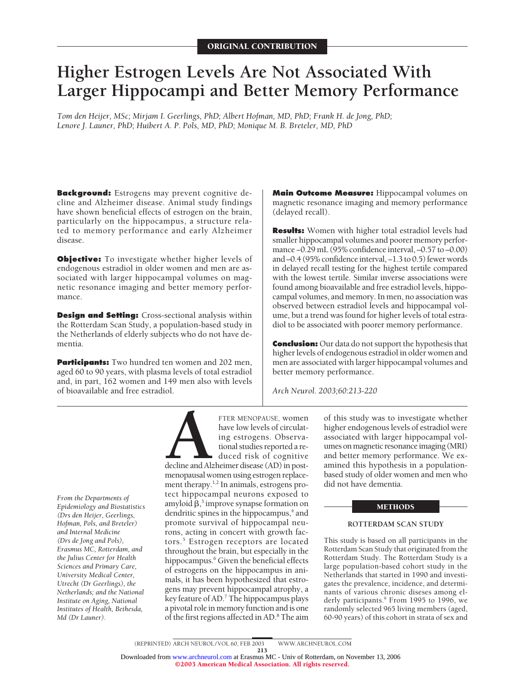# **Higher Estrogen Levels Are Not Associated With Larger Hippocampi and Better Memory Performance**

*Tom den Heijer, MSc; Mirjam I. Geerlings, PhD; Albert Hofman, MD, PhD; Frank H. de Jong, PhD; Lenore J. Launer, PhD; Huibert A. P. Pols, MD, PhD; Monique M. B. Breteler, MD, PhD*

**Background:** Estrogens may prevent cognitive decline and Alzheimer disease. Animal study findings have shown beneficial effects of estrogen on the brain, particularly on the hippocampus, a structure related to memory performance and early Alzheimer disease.

**Objective:** To investigate whether higher levels of endogenous estradiol in older women and men are associated with larger hippocampal volumes on magnetic resonance imaging and better memory performance.

**Design and Setting:** Cross-sectional analysis within the Rotterdam Scan Study, a population-based study in the Netherlands of elderly subjects who do not have dementia.

**Participants:** Two hundred ten women and 202 men, aged 60 to 90 years, with plasma levels of total estradiol and, in part, 162 women and 149 men also with levels of bioavailable and free estradiol.

**Main Outcome Measure:** Hippocampal volumes on magnetic resonance imaging and memory performance (delayed recall).

**Results:** Women with higher total estradiol levels had smaller hippocampal volumes and poorer memory performance −0.29 mL (95% confidence interval, –0.57 to –0.00) and –0.4 (95% confidence interval, −1.3 to 0.5) fewer words in delayed recall testing for the highest tertile compared with the lowest tertile. Similar inverse associations were found among bioavailable and free estradiol levels, hippocampal volumes, and memory. In men, no association was observed between estradiol levels and hippocampal volume, but a trend was found for higher levels of total estradiol to be associated with poorer memory performance.

**Conclusion:** Our data do not support the hypothesis that higher levels of endogenous estradiol in older women and men are associated with larger hippocampal volumes and better memory performance.

*Arch Neurol. 2003;60:213-220*



FTER MENOPAUSE, women<br>have low levels of circulat-<br>ing estrogens. Observa-<br>tional studies reported a re-<br>duced risk of cognitive<br>menopausal women using estrogen replacehave low levels of circulating estrogens. Observational studies reported a reduced risk of cognitive

decline and Alzheimer disease (AD) in postmenopausal women using estrogen replacement therapy.<sup>1,2</sup> In animals, estrogens protect hippocampal neurons exposed to amyloid  $\beta$ ,<sup>3</sup> improve synapse formation on dendritic spines in the hippocampus,<sup>4</sup> and promote survival of hippocampal neurons, acting in concert with growth factors.<sup>5</sup> Estrogen receptors are located throughout the brain, but especially in the hippocampus.<sup>6</sup> Given the beneficial effects of estrogens on the hippocampus in animals, it has been hypothesized that estrogens may prevent hippocampal atrophy, a key feature of AD.<sup>7</sup> The hippocampus plays a pivotal role in memory function and is one of the first regions affected in AD.8 The aim of this study was to investigate whether higher endogenous levels of estradiol were associated with larger hippocampal volumes on magnetic resonance imaging (MRI) and better memory performance. We examined this hypothesis in a populationbased study of older women and men who did not have dementia.

## METHODS

## **ROTTERDAM SCAN STUDY**

This study is based on all participants in the Rotterdam Scan Study that originated from the Rotterdam Study. The Rotterdam Study is a large population-based cohort study in the Netherlands that started in 1990 and investigates the prevalence, incidence, and determinants of various chronic diseses among elderly participants.<sup>9</sup> From 1995 to 1996, we randomly selected 965 living members (aged, 60-90 years) of this cohort in strata of sex and

*From the Departments of Epidemiology and Biostatistics (Drs den Heijer, Geerlings, Hofman, Pols, and Breteler) and Internal Medicine (Drs de Jong and Pols), Erasmus MC, Rotterdam, and the Julius Center for Health Sciences and Primary Care, University Medical Center, Utrecht (Dr Geerlings), the Netherlands; and the National Institute on Aging, National Institutes of Health, Bethesda, Md (Dr Launer).*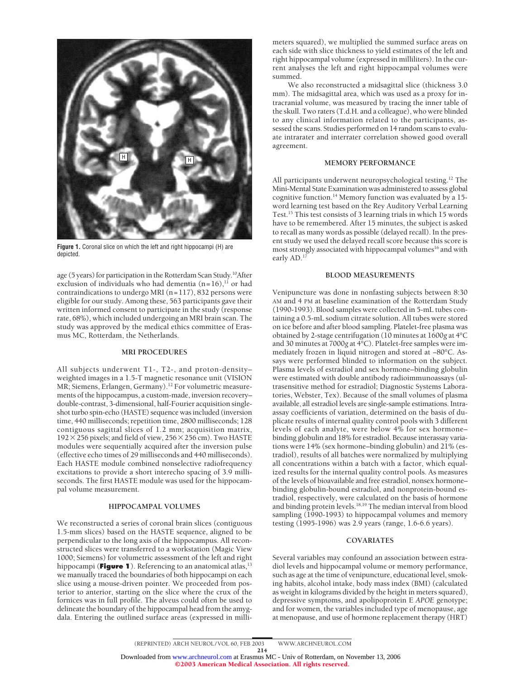

**Figure 1.** Coronal slice on which the left and right hippocampi (H) are depicted.

age (5 years) for participation in the Rotterdam Scan Study.<sup>10</sup>After exclusion of individuals who had dementia  $(n=16)$ ,<sup>11</sup> or had contraindications to undergo MRI (n=117), 832 persons were eligible for our study. Among these, 563 participants gave their written informed consent to participate in the study (response rate, 68%), which included undergoing an MRI brain scan. The study was approved by the medical ethics committee of Erasmus MC, Rotterdam, the Netherlands.

## **MRI PROCEDURES**

All subjects underwent T1-, T2-, and proton-density– weighted images in a 1.5-T magnetic resonance unit (VISION MR; Siemens, Erlangen, Germany).<sup>12</sup> For volumetric measurements of the hippocampus, a custom-made, inversion recovery– double-contrast, 3-dimensional, half-Fourier acquisition singleshot turbo spin-echo (HASTE) sequence was included (inversion time, 440 milliseconds; repetition time, 2800 milliseconds; 128 contiguous sagittal slices of 1.2 mm; acquisition matrix,  $192 \times 256$  pixels; and field of view,  $256 \times 256$  cm). Two HASTE modules were sequentially acquired after the inversion pulse (effective echo times of 29 milliseconds and 440 milliseconds). Each HASTE module combined nonselective radiofrequency excitations to provide a short interecho spacing of 3.9 milliseconds. The first HASTE module was used for the hippocampal volume measurement.

#### **HIPPOCAMPAL VOLUMES**

We reconstructed a series of coronal brain slices (contiguous 1.5-mm slices) based on the HASTE sequence, aligned to be perpendicular to the long axis of the hippocampus. All reconstructed slices were transferred to a workstation (Magic View 1000; Siemens) for volumetric assessment of the left and right hippocampi (Figure 1). Referencing to an anatomical atlas,<sup>13</sup> we manually traced the boundaries of both hippocampi on each slice using a mouse-driven pointer. We proceeded from posterior to anterior, starting on the slice where the crux of the fornices was in full profile. The alveus could often be used to delineate the boundary of the hippocampal head from the amygdala. Entering the outlined surface areas (expressed in millimeters squared), we multiplied the summed surface areas on each side with slice thickness to yield estimates of the left and right hippocampal volume (expressed in milliliters). In the current analyses the left and right hippocampal volumes were summed.

We also reconstructed a midsagittal slice (thickness 3.0 mm). The midsagittal area, which was used as a proxy for intracranial volume, was measured by tracing the inner table of the skull. Two raters (T.d.H. and a colleague), who were blinded to any clinical information related to the participants, assessed the scans. Studies performed on 14 random scans to evaluate intrarater and interrater correlation showed good overall agreement.

#### **MEMORY PERFORMANCE**

All participants underwent neuropsychological testing.<sup>12</sup> The Mini-Mental State Examination was administered to assess global cognitive function.14 Memory function was evaluated by a 15 word learning test based on the Rey Auditory Verbal Learning Test.15 This test consists of 3 learning trials in which 15 words have to be remembered. After 15 minutes, the subject is asked to recall as many words as possible (delayed recall). In the present study we used the delayed recall score because this score is most strongly associated with hippocampal volumes<sup>16</sup> and with early AD.<sup>1</sup>

#### **BLOOD MEASUREMENTS**

Venipuncture was done in nonfasting subjects between 8:30 AM and 4 PM at baseline examination of the Rotterdam Study (1990-1993). Blood samples were collected in 5-mL tubes containing a 0.5-mL sodium citrate solution. All tubes were stored on ice before and after blood sampling. Platelet-free plasma was obtained by 2-stage centrifugation (10 minutes at 1600*g* at 4°C and 30 minutes at 7000*g* at 4°C). Platelet-free samples were immediately frozen in liquid nitrogen and stored at −80°C. Assays were performed blinded to information on the subject. Plasma levels of estradiol and sex hormone–binding globulin were estimated with double antibody radioimmunoassays (ultrasensitive method for estradiol; Diagnostic Systems Laboratories, Webster, Tex). Because of the small volumes of plasma available, all estradiol levels are single-sample estimations. Intraassay coefficients of variation, determined on the basis of duplicate results of internal quality control pools with 3 different levels of each analyte, were below 4% for sex hormone– binding globulin and 18% for estradiol. Because interassay variations were 14% (sex hormone–binding globulin) and 21% (estradiol), results of all batches were normalized by multiplying all concentrations within a batch with a factor, which equalized results for the internal quality control pools. As measures of the levels of bioavailable and free estradiol, nonsex hormone– binding globulin-bound estradiol, and nonprotein-bound estradiol, respectively, were calculated on the basis of hormone and binding protein levels.18,19 The median interval from blood sampling (1990-1993) to hippocampal volumes and memory testing (1995-1996) was 2.9 years (range, 1.6-6.6 years).

## **COVARIATES**

Several variables may confound an association between estradiol levels and hippocampal volume or memory performance, such as age at the time of venipuncture, educational level, smoking habits, alcohol intake, body mass index (BMI) (calculated as weight in kilograms divided by the height in meters squared), depressive symptoms, and apolipoprotein E *APOE* genotype; and for women, the variables included type of menopause, age at menopause, and use of hormone replacement therapy (HRT)

214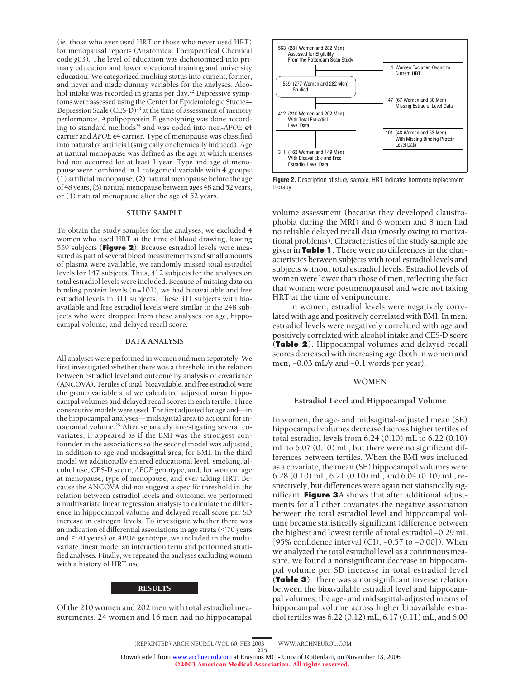(ie, those who ever used HRT or those who never used HRT) for menopausal reports (Anatomical Therapeutical Chemical code g03). The level of education was dichotomized into primary education and lower vocational training and university education. We categorized smoking status into current, former, and never and made dummy variables for the analyses. Alcohol intake was recorded in grams per day.<sup>22</sup> Depressive symptoms were assessed using the Center for Epidemiologic Studies– Depression Scale  $(CES-D)^{23}$  at the time of assessment of memory performance. Apolipoprotein E genotyping was done according to standard methods<sup>24</sup> and was coded into non-*APOE*  $\epsilon$ 4 carrier and *APOE*  $\epsilon$ 4 carrier. Type of menopause was classified into natural or artificial (surgically or chemically induced). Age at natural menopause was defined as the age at which menses had not occurred for at least 1 year. Type and age of menopause were combined in 1 categorical variable with 4 groups: (1) artificial menopause, (2) natural menopause before the age of 48 years, (3) natural menopause between ages 48 and 52 years, or (4) natural menopause after the age of 52 years.

# **STUDY SAMPLE**

To obtain the study samples for the analyses, we excluded 4 women who used HRT at the time of blood drawing, leaving 559 subjects (**Figure 2**). Because estradiol levels were measured as part of several blood measurements and small amounts of plasma were available, we randomly missed total estradiol levels for 147 subjects. Thus, 412 subjects for the analyses on total estradiol levels were included. Because of missing data on binding protein levels (n=101), we had bioavailable and free estradiol levels in 311 subjects. These 311 subjects with bioavailable and free estradiol levels were similar to the 248 subjects who were dropped from these analyses for age, hippocampal volume, and delayed recall score.

#### **DATA ANALYSIS**

All analyses were performed in women and men separately. We first investigated whether there was a threshold in the relation between estradiol level and outcome by analysis of covariance (ANCOVA). Tertiles of total, bioavailable, and free estradiol were the group variable and we calculated adjusted mean hippocampal volumes and delayed recall scores in each tertile. Three consecutive models were used. The first adjusted for age and—in the hippocampal analyses—midsagittal area to account for intracranial volume.25 After separately investigating several covariates, it appeared as if the BMI was the strongest confounder in the associations so the second model was adjusted, in addition to age and midsagittal area, for BMI. In the third model we additionally entered educational level, smoking, alcohol use, CES-D score, *APOE* genotype, and, for women, age at menopause, type of menopause, and ever taking HRT. Because the ANCOVA did not suggest a specific threshold in the relation between estradiol levels and outcome, we performed a multivariate linear regression analysis to calculate the difference in hippocampal volume and delayed recall score per SD increase in estrogen levels. To investigate whether there was an indication of differential associations in age strata  $(< 70$  years and  $\geq$ 70 years) or *APOE* genotype, we included in the multivariate linear model an interaction term and performed stratified analyses. Finally, we repeated the analyses excluding women with a history of HRT use.

#### **RESULTS**

Of the 210 women and 202 men with total estradiol measurements, 24 women and 16 men had no hippocampal



**Figure 2.** Description of study sample. HRT indicates hormone replacement therapy.

volume assessment (because they developed claustrophobia during the MRI) and 6 women and 8 men had no reliable delayed recall data (mostly owing to motivational problems). Characteristics of the study sample are given in **Table 1**. There were no differences in the characteristics between subjects with total estradiol levels and subjects without total estradiol levels. Estradiol levels of women were lower than those of men, reflecting the fact that women were postmenopausal and were not taking HRT at the time of venipuncture.

In women, estradiol levels were negatively correlated with age and positively correlated with BMI. In men, estradiol levels were negatively correlated with age and positively correlated with alcohol intake and CES-D score (**Table 2**). Hippocampal volumes and delayed recall scores decreased with increasing age (both in women and men, −0.03 mL/y and −0.1 words per year).

#### **WOMEN**

# **Estradiol Level and Hippocampal Volume**

In women, the age- and midsagittal-adjusted mean (SE) hippocampal volumes decreased across higher tertiles of total estradiol levels from 6.24 (0.10) mL to 6.22 (0.10) mL to 6.07 (0.10) mL, but there were no significant differences between tertiles. When the BMI was included as a covariate, the mean (SE) hippocampal volumes were 6.28 (0.10) mL, 6.21 (0.10) mL, and 6.04 (0.10) mL, respectively, but differences were again not statistically significant. **Figure 3**A shows that after additional adjustments for all other covariates the negative association between the total estradiol level and hippocampal volume became statistically significant (difference between the highest and lowest tertile of total estradiol −0.29 mL [95% confidence interval (CI), -0.57 to -0.00]). When we analyzed the total estradiol level as a continuous measure, we found a nonsignificant decrease in hippocampal volume per SD increase in total estradiol level (**Table 3**). There was a nonsignificant inverse relation between the bioavailable estradiol level and hippocampal volumes; the age- and midsagittal-adjusted means of hippocampal volume across higher bioavailable estradiol tertiles was 6.22 (0.12) mL, 6.17 (0.11) mL, and 6.00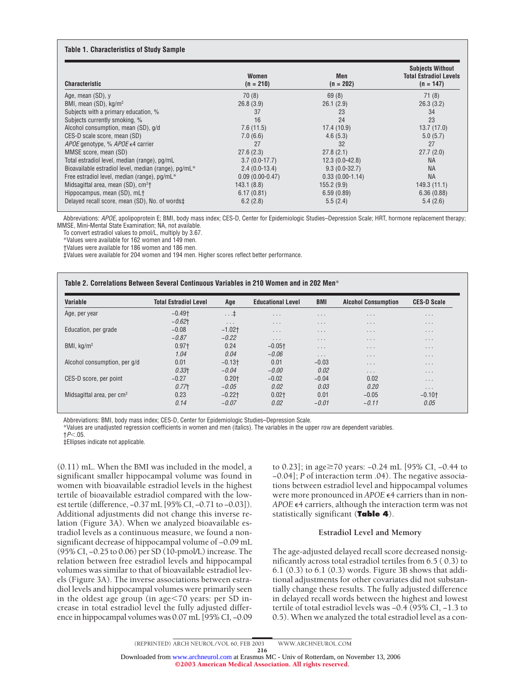# **Table 1. Characteristics of Study Sample**

| <b>Characteristic</b>                                    | Women<br>$(n = 210)$ | Men<br>$(n = 202)$ | <b>Subjects Without</b><br><b>Total Estradiol Levels</b><br>$(n = 147)$ |
|----------------------------------------------------------|----------------------|--------------------|-------------------------------------------------------------------------|
| Age, mean (SD), y                                        | 70(8)                | 69(8)              | 71(8)                                                                   |
| BMI, mean (SD), kg/m <sup>2</sup>                        | 26.8(3.9)            | 26.1(2.9)          | 26.3(3.2)                                                               |
| Subjects with a primary education, %                     | 37                   | 23                 | 34                                                                      |
| Subjects currently smoking, %                            | 16                   | 24                 | 23                                                                      |
| Alcohol consumption, mean (SD), g/d                      | 7.6(11.5)            | 17.4(10.9)         | 13.7(17.0)                                                              |
| CES-D scale score, mean (SD)                             | 7.0(6.6)             | 4.6(5.3)           | 5.0(5.7)                                                                |
| <i>APOE</i> genotype, % <i>APOE</i> $\epsilon$ 4 carrier | 27                   | 32                 | 27                                                                      |
| MMSE score, mean (SD)                                    | 27.6(2.3)            | 27.8(2.1)          | 27.7(2.0)                                                               |
| Total estradiol level, median (range), pg/mL             | $3.7(0.0-17.7)$      | $12.3(0.0-42.8)$   | <b>NA</b>                                                               |
| Bioavailable estradiol level, median (range), pg/mL*     | $2.4(0.0-13.4)$      | $9.3(0.0-32.7)$    | <b>NA</b>                                                               |
| Free estradiol level, median (range), pg/mL*             | $0.09(0.00-0.47)$    | $0.33(0.00-1.14)$  | <b>NA</b>                                                               |
| Midsagittal area, mean $(SD)$ , cm <sup>2</sup> †        | 143.1(8.8)           | 155.2(9.9)         | 149.3(11.1)                                                             |
| Hippocampus, mean (SD), mLt                              | 6.17(0.81)           | 6.59(0.89)         | 6.36(0.88)                                                              |
| Delayed recall score, mean (SD), No. of words $\ddagger$ | 6.2(2.8)             | 5.5(2.4)           | 5.4(2.6)                                                                |

Abbreviations: *APOE*, apolipoprotein E; BMI, body mass index; CES-D, Center for Epidemiologic Studies–Depression Scale; HRT, hormone replacement therapy; MMSE, Mini-Mental State Examination; NA, not available.

To convert estradiol values to pmol/L, multiply by 3.67.

\*Values were available for 162 women and 149 men.

†Values were available for 186 women and 186 men.

‡Values were available for 204 women and 194 men. Higher scores reflect better performance.

## **Table 2. Correlations Between Several Continuous Variables in 210 Women and in 202 Men**\*

| Variable                              | <b>Total Estradiol Level</b> | Age        | <b>Educational Level</b> | BMI                     | <b>Alcohol Consumption</b> | <b>CES-D Scale</b>   |
|---------------------------------------|------------------------------|------------|--------------------------|-------------------------|----------------------------|----------------------|
| Age, per year                         | $-0.49$ †                    | $\ldots$ ‡ | $\cdots$                 | $\cdots$                | $\cdots$                   | $\cdots$             |
|                                       | $-0.62$ †                    | $\cdots$   | $\cdots$                 | $\cdots$                | $\cdots$                   | $\cdots$             |
| Education, per grade                  | $-0.08$                      | $-1.02$ †  | $\cdots$                 | $\cdots$                | $\cdots$                   | .                    |
|                                       | $-0.87$                      | $-0.22$    | $\cdots$                 | $\cdots$                | $\cdots$                   | .                    |
| BMI, $kg/m2$                          | $0.97+$                      | 0.24       | $-0.05$ <sup>+</sup>     | $\cdot$ $\cdot$ $\cdot$ | $\cdots$                   | .                    |
|                                       | 1.04                         | 0.04       | $-0.06$                  | $\cdot$ $\cdot$ $\cdot$ | $\cdots$                   | $\cdots$             |
| Alcohol consumption, per g/d          | 0.01                         | $-0.13$ †  | 0.01                     | $-0.03$                 | $\cdots$                   | $\cdots$             |
|                                       | 0.33 <sup>†</sup>            | $-0.04$    | $-0.00$                  | 0.02                    | $\cdots$                   | $\cdots$             |
| CES-D score, per point                | $-0.27$                      | $0.20+$    | $-0.02$                  | $-0.04$                 | 0.02                       | $\cdots$             |
|                                       | $0.77$ +                     | $-0.05$    | 0.02                     | 0.03                    | 0.20                       | $\cdots$             |
| Midsagittal area, per cm <sup>2</sup> | 0.23                         | $-0.22$ †  | $0.02+$                  | 0.01                    | $-0.05$                    | $-0.10$ <sup>+</sup> |
|                                       | 0.14                         | $-0.07$    | 0.02                     | $-0.01$                 | $-0.11$                    | 0.05                 |

Abbreviations: BMI, body mass index; CES-D, Center for Epidemiologic Studies–Depression Scale.

\*Values are unadjusted regression coefficients in women and men (italics). The variables in the upper row are dependent variables.

†*P*.05.

‡Ellipses indicate not applicable.

(0.11) mL. When the BMI was included in the model, a significant smaller hippocampal volume was found in women with bioavailable estradiol levels in the highest tertile of bioavailable estradiol compared with the lowest tertile (difference, −0.37 mL [95% CI, −0.71 to −0.03]). Additional adjustments did not change this inverse relation (Figure 3A). When we analyzed bioavailable estradiol levels as a continuous measure, we found a nonsignificant decrease of hippocampal volume of −0.09 mL (95% CI, −0.25 to 0.06) per SD (10-pmol/L) increase. The relation between free estradiol levels and hippocampal volumes was similar to that of bioavailable estradiol levels (Figure 3A). The inverse associations between estradiol levels and hippocampal volumes were primarily seen in the oldest age group (in age<70 years: per SD increase in total estradiol level the fully adjusted difference in hippocampal volumes was 0.07 mL [95% CI, −0.09

to 0.23]; in age70 years: −0.24 mL [95% CI, −0.44 to −0.04]; *P* of interaction term .04). The negative associations between estradiol level and hippocampal volumes were more pronounced in *APOE*  $\epsilon$ 4 carriers than in non-APOE  $\epsilon$ 4 carriers, although the interaction term was not statistically significant (**Table 4**).

# **Estradiol Level and Memory**

The age-adjusted delayed recall score decreased nonsignificantly across total estradiol tertiles from 6.5 ( 0.3) to 6.1 (0.3) to 6.1 (0.3) words. Figure 3B shows that additional adjustments for other covariates did not substantially change these results. The fully adjusted difference in delayed recall words between the highest and lowest tertile of total estradiol levels was −0.4 (95% CI, −1.3 to 0.5). When we analyzed the total estradiol level as a con-

216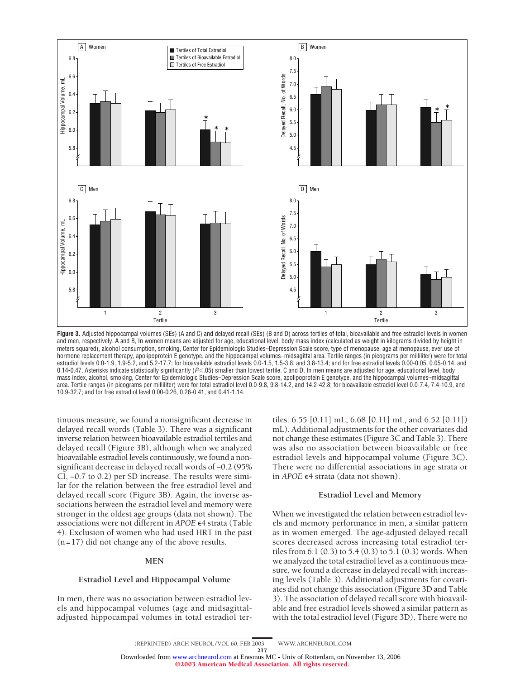

Figure 3. Adjusted hippocampal volumes (SEs) (A and C) and delayed recall (SEs) (B and D) across tertiles of total, bioavailable and free estradiol levels in women and men, respectively. A and B, In women means are adjusted for age, educational level, body mass index (calculated as weight in kilograms divided by height in meters squared), alcohol consumption, smoking, Center for Epidemiologic Studies–Depression Scale score, type of menopause, age at menopause, ever use of hormone replacement therapy, apolipoprotein E genotype, and the hippocampal volumes–midsagittal area. Tertile ranges (in picograms per milliliter) were for total estradiol levels 0.0-1.9, 1.9-5.2, and 5.2-17.7; for bioavailable estradiol levels 0.0-1.5, 1.5-3.8, and 3.8-13.4; and for free estradiol levels 0.00-0.05, 0.05-0.14, and 0.14-0.47. Asterisks indicate statistically significantly (P<.05) smaller than lowest tertile. C and D, In men means are adjusted for age, educational level, body mass index, alcohol, smoking, Center for Epidemiologic Studies–Depression Scale score, apolipoprotein E genotype, and the hippocampal volumes–midsagittal area. Tertile ranges (in picograms per milliliter) were for total estradiol level 0.0-9.8, 9.8-14.2, and 14.2-42.8; for bioavailable estradiol level 0.0-7.4, 7.4-10.9, and 10.9-32.7; and for free estradiol level 0.00-0.26, 0.26-0.41, and 0.41-1.14.

tinuous measure, we found a nonsignificant decrease in delayed recall words (Table 3). There was a significant inverse relation between bioavailable estradiol tertiles and delayed recall (Figure 3B), although when we analyzed bioavailable estradiol levels continuously, we found a nonsignificant decrease in delayed recall words of −0.2 (95% CI, −0.7 to 0.2) per SD increase. The results were similar for the relation between the free estradiol level and delayed recall score (Figure 3B). Again, the inverse associations between the estradiol level and memory were stronger in the oldest age groups (data not shown). The associations were not different in *APOE*  $\epsilon$ 4 strata (Table 4). Exclusion of women who had used HRT in the past (n=17) did not change any of the above results.

# **MEN**

## **Estradiol Level and Hippocampal Volume**

In men, there was no association between estradiol levels and hippocampal volumes (age and midsagittaladjusted hippocampal volumes in total estradiol tertiles: 6.55 [0.11] mL, 6.68 [0.11] mL, and 6.52 [0.11]) mL). Additional adjustments for the other covariates did not change these estimates (Figure 3C and Table 3). There was also no association between bioavailable or free estradiol levels and hippocampal volume (Figure 3C). There were no differential associations in age strata or in *APOE*  $\epsilon$ 4 strata (data not shown).

#### **Estradiol Level and Memory**

When we investigated the relation between estradiol levels and memory performance in men, a similar pattern as in women emerged. The age-adjusted delayed recall scores decreased across increasing total estradiol tertiles from 6.1 (0.3) to 5.4 (0.3) to 5.1 (0.3) words. When we analyzed the total estradiol level as a continuous measure, we found a decrease in delayed recall with increasing levels (Table 3). Additional adjustments for covariates did not change this association (Figure 3D and Table 3). The association of delayed recall score with bioavailable and free estradiol levels showed a similar pattern as with the total estradiol level (Figure 3D). There were no

217 Downloaded from [www.archneurol.com](http://www.archneurol.com) at Erasmus MC - Univ of Rotterdam, on November 13, 2006

©2003 American Medical Association. All rights reserved.

<sup>(</sup>REPRINTED) ARCH NEUROL / VOL 60, FEB 2003 WWW.ARCHNEUROL.COM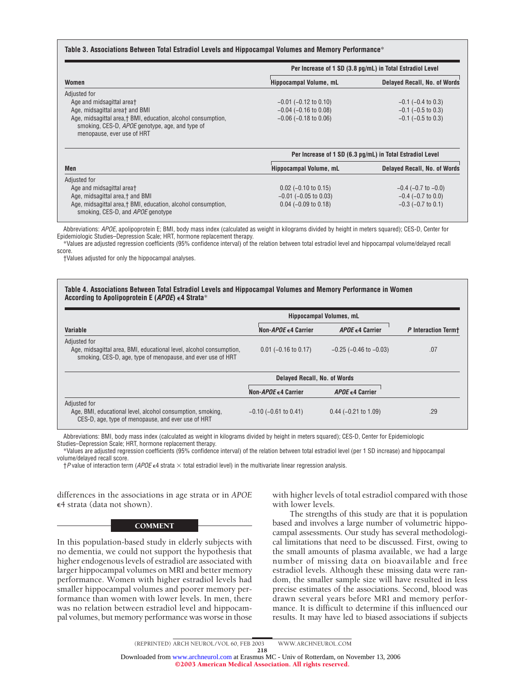## **Table 3. Associations Between Total Estradiol Levels and Hippocampal Volumes and Memory Performance**\*

|                                                                                                                                                | Per Increase of 1 SD (3.8 pg/mL) in Total Estradiol Level |                                                           |  |  |
|------------------------------------------------------------------------------------------------------------------------------------------------|-----------------------------------------------------------|-----------------------------------------------------------|--|--|
| Women                                                                                                                                          | Hippocampal Volume, mL                                    | <b>Delayed Recall, No. of Words</b>                       |  |  |
| Adjusted for                                                                                                                                   |                                                           |                                                           |  |  |
| Age and midsagittal areat                                                                                                                      | $-0.01$ $(-0.12$ to 0.10)                                 | $-0.1$ ( $-0.4$ to 0.3)                                   |  |  |
| Age, midsagittal area† and BMI                                                                                                                 | $-0.04$ ( $-0.16$ to 0.08)                                | $-0.1$ ( $-0.5$ to 0.3)                                   |  |  |
| Age, midsagittal area, † BMI, education, alcohol consumption,<br>smoking, CES-D, APOE genotype, age, and type of<br>menopause, ever use of HRT | $-0.06$ ( $-0.18$ to 0.06)                                | $-0.1$ ( $-0.5$ to 0.3)                                   |  |  |
|                                                                                                                                                |                                                           | Per Increase of 1 SD (6.3 pg/mL) in Total Estradiol Level |  |  |
| Men                                                                                                                                            | Hippocampal Volume, mL                                    | <b>Delayed Recall, No. of Words</b>                       |  |  |
| Adjusted for                                                                                                                                   |                                                           |                                                           |  |  |
| Age and midsagittal areat                                                                                                                      | $0.02$ (-0.10 to 0.15)                                    | $-0.4$ ( $-0.7$ to $-0.0$ )                               |  |  |
| Age, midsagittal area, † and BMI                                                                                                               | $-0.01$ ( $-0.05$ to 0.03)                                | $-0.4$ ( $-0.7$ to 0.0)                                   |  |  |
| Age, midsagittal area, † BMI, education, alcohol consumption,<br>smoking, CES-D, and APOE genotype                                             | $0.04$ (-0.09 to 0.18)                                    | $-0.3$ ( $-0.7$ to 0.1)                                   |  |  |

Abbreviations: *APOE*, apolipoprotein E; BMI, body mass index (calculated as weight in kilograms divided by height in meters squared); CES-D, Center for Epidemiologic Studies–Depression Scale; HRT, hormone replacement therapy.

\*Values are adjusted regression coefficients (95% confidence interval) of the relation between total estradiol level and hippocampal volume/delayed recall score.

†Values adjusted for only the hippocampal analyses.

# **Table 4. Associations Between Total Estradiol Levels and Hippocampal Volumes and Memory Performance in Women According to Apolipoprotein E (***APOE***) 4 Strata**\*

|                                                                                                                                                    | <b>Hippocampal Volumes, mL</b>      |                                |                     |
|----------------------------------------------------------------------------------------------------------------------------------------------------|-------------------------------------|--------------------------------|---------------------|
| Variable                                                                                                                                           | Non-APOE $\epsilon$ 4 Carrier       | $APOE \in 4$ Carrier           | P Interaction Term+ |
| Adjusted for<br>Age, midsagittal area, BMI, educational level, alcohol consumption,<br>smoking, CES-D, age, type of menopause, and ever use of HRT | $0.01$ (-0.16 to 0.17)              | $-0.25$ ( $-0.46$ to $-0.03$ ) | .07                 |
|                                                                                                                                                    | <b>Delayed Recall, No. of Words</b> |                                |                     |
|                                                                                                                                                    | Non-APOE $\epsilon$ 4 Carrier       | $APOE \epsilon 4$ Carrier      |                     |
| Adjusted for<br>Age, BMI, educational level, alcohol consumption, smoking,<br>CES-D, age, type of menopause, and ever use of HRT                   | $-0.10$ ( $-0.61$ to 0.41)          | $0.44$ (-0.21 to 1.09)         | .29                 |

Abbreviations: BMI, body mass index (calculated as weight in kilograms divided by height in meters squared); CES-D, Center for Epidemiologic Studies–Depression Scale; HRT, hormone replacement therapy.

\*Values are adjusted regression coefficients (95% confidence interval) of the relation between total estradiol level (per 1 SD increase) and hippocampal volume/delayed recall score.

 $\dagger$ *P* value of interaction term (APOE  $\epsilon$ 4 strata  $\times$  total estradiol level) in the multivariate linear regression analysis.

differences in the associations in age strata or in *APOE* 4 strata (data not shown).

# COMMENT

In this population-based study in elderly subjects with no dementia, we could not support the hypothesis that higher endogenous levels of estradiol are associated with larger hippocampal volumes on MRI and better memory performance. Women with higher estradiol levels had smaller hippocampal volumes and poorer memory performance than women with lower levels. In men, there was no relation between estradiol level and hippocampal volumes, but memory performance was worse in those with higher levels of total estradiol compared with those with lower levels.

The strengths of this study are that it is population based and involves a large number of volumetric hippocampal assessments. Our study has several methodological limitations that need to be discussed. First, owing to the small amounts of plasma available, we had a large number of missing data on bioavailable and free estradiol levels. Although these missing data were random, the smaller sample size will have resulted in less precise estimates of the associations. Second, blood was drawn several years before MRI and memory performance. It is difficult to determine if this influenced our results. It may have led to biased associations if subjects

©2003 American Medical Association. All rights reserved.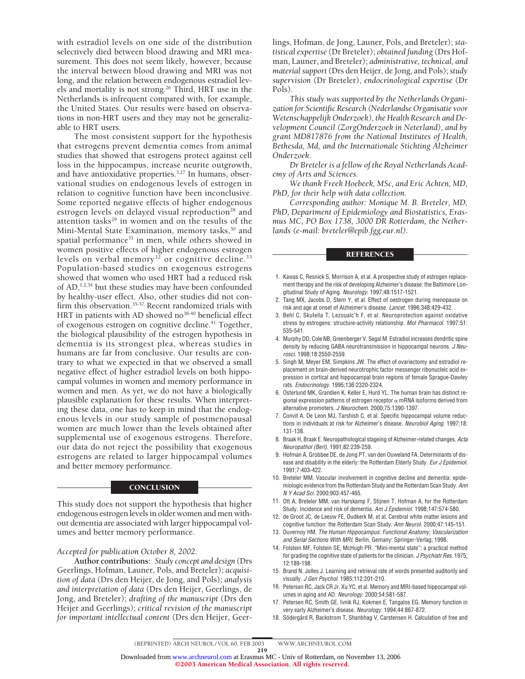with estradiol levels on one side of the distribution selectively died between blood drawing and MRI measurement. This does not seem likely, however, because the interval between blood drawing and MRI was not long, and the relation between endogenous estradiol levels and mortality is not strong.26 Third, HRT use in the Netherlands is infrequent compared with, for example, the United States. Our results were based on observations in non-HRT users and they may not be generalizable to HRT users.

The most consistent support for the hypothesis that estrogens prevent dementia comes from animal studies that showed that estrogens protect against cell loss in the hippocampus, increase neurite outgrowth, and have antioxidative properties.<sup>3,27</sup> In humans, observational studies on endogenous levels of estrogen in relation to cognitive function have been inconclusive. Some reported negative effects of higher endogenous estrogen levels on delayed visual reproduction<sup>28</sup> and attention tasks $^{29}$  in women and on the results of the Mini-Mental State Examination, memory tasks,<sup>30</sup> and spatial performance<sup>31</sup> in men, while others showed in women positive effects of higher endogenous estrogen levels on verbal memory<sup>32</sup> or cognitive decline.<sup>33</sup> Population-based studies on exogenous estrogens showed that women who used HRT had a reduced risk of AD,<sup>1,2,34</sup> but these studies may have been confounded by healthy-user effect. Also, other studies did not confirm this observation.<sup>35-37</sup> Recent randomized trials with HRT in patients with AD showed no<sup>38-40</sup> beneficial effect of exogenous estrogen on cognitive decline.<sup>41</sup> Together, the biological plausibility of the estrogen hypothesis in dementia is its strongest plea, whereas studies in humans are far from conclusive. Our results are contrary to what we expected in that we observed a small negative effect of higher estradiol levels on both hippocampal volumes in women and memory performance in women and men. As yet, we do not have a biologically plausible explanation for these results. When interpreting these data, one has to keep in mind that the endogenous levels in our study sample of postmenopausal women are much lower than the levels obtained after supplemental use of exogenous estrogens. Therefore, our data do not reject the possibility that exogenous estrogens are related to larger hippocampal volumes and better memory performance.

## **CONCLUSION**

This study does not support the hypothesis that higher endogenous estrogen levels in older women and men without dementia are associated with larger hippocampal volumes and better memory performance.

#### *Accepted for publication October 8, 2002.*

**Author contributions:** *Study concept and design* (Drs Geerlings, Hofman, Launer, Pols, and Breteler); *acquisition of data* (Drs den Heijer, de Jong, and Pols); *analysis and interpretation of data* (Drs den Heijer, Geerlings, de Jong, and Breteler); *drafting of the manuscript* (Drs den Heijer and Geerlings); *critical revision of the manuscript for important intellectual content* (Drs den Heijer, Geerlings, Hofman, de Jong, Launer, Pols, and Breteler); *statistical expertise* (Dr Breteler); *obtained funding* (Drs Hofman, Launer, and Breteler); *administrative, technical, and material support*(Drs den Heijer, de Jong, and Pols);*study supervision* (Dr Breteler), *endocrinological expertise* (Dr Pols).

*This study was supported by the Netherlands Organization for Scientific Research (Nederlandse Organisatie voor Wetenschappelijk Onderzoek), the Health Research and Development Council (ZorgOnderzoek in Neterland), and by grant MD817876 from the National Institutes of Health, Bethesda, Md, and the Internationale Stichting Alzheimer Onderzoek.*

*Dr Breteler is a fellow of the Royal Netherlands Academy of Arts and Sciences.*

*We thank Freek Hoebeek, MSc, and Eric Achten, MD, PhD, for their help with data collection.*

*Corresponding author: Monique M. B. Breteler, MD, PhD, Department of Epidemiology and Biostatistics, Erasmus MC, PO Box 1738, 3000 DR Rotterdam, the Netherlands (e-mail: breteler@epib.fgg.eur.nl).*

## **REFERENCES**

- 1. Kawas C, Resnick S, Morrison A, et al. A prospective study of estrogen replacement therapy and the risk of developing Alzheimer's disease: the Baltimore Longitudinal Study of Aging. *Neurology*. 1997;48:1517-1521.
- 2. Tang MX, Jacobs D, Stern Y, et al. Effect of oestrogen during menopause on risk and age at onset of Alzheimer's disease. *Lancet*. 1996;348:429-432.
- 3. Behl C, Skutella T, Lezoualc'h F, et al. Neuroprotection against oxidative stress by estrogens: structure-activity relationship. *Mol Pharmacol*. 1997;51: 535-541.
- 4. Murphy DD, Cole NB, Greenberger V, Segal M. Estradiol increases dendritic spine density by reducing GABA neurotransmission in hippocampal neurons. *J Neurosci*. 1998;18:2550-2559.
- 5. Singh M, Meyer EM, Simpkins JW. The effect of ovariectomy and estradiol replacement on brain-derived neurotrophic factor messenger ribonucleic acid expression in cortical and hippocampal brain regions of female Sprague-Dawley rats. *Endocrinology*. 1995;136:2320-2324.
- 6. Osterlund MK, Grandien K, Keller E, Hurd YL. The human brain has distinct regional expression patterns of estrogen receptor  $\alpha$  mRNA isoforms derived from alternative promoters. *J Neurochem*. 2000;75:1390-1397.
- 7. Convit A, De Leon MJ, Tarshish C, et al. Specific hippocampal volume reductions in individuals at risk for Alzheimer's disease. *Neurobiol Aging*. 1997;18: 131-138.
- 8. Braak H, Braak E. Neuropathological stageing of Alzheimer-related changes. *Acta Neuropathol (Berl)*. 1991;82:239-259.
- 9. Hofman A, Grobbee DE, de Jong PT, van den Ouweland FA. Determinants of disease and disability in the elderly: the Rotterdam Elderly Study. *Eur J Epidemiol*. 1991;7:403-422.
- 10. Breteler MM. Vascular involvement in cognitive decline and dementia: epidemiologic evidence from the Rotterdam Study and the Rotterdam Scan Study. *Ann N Y Acad Sci*. 2000;903:457-465.
- 11. Ott A, Breteler MM, van Harskamp F, Stijnen T, Hofman A, for the Rotterdam Study. Incidence and risk of dementia. *Am J Epidemiol*. 1998;147:574-580.
- 12. de Groot JC, de Leeuw FE, Oudkerk M, et al. Cerebral white matter lesions and cognitive function: the Rotterdam Scan Study. *Ann Neurol*. 2000;47:145-151.
- 13. Duvernoy HM. *The Human Hippocampus: Functional Anatomy, Vascularization and Serial Sections With MRI.* Berlin, Gemany: Springer-Verlag; 1998.
- 14. Folstein MF, Folstein SE, McHugh PR. "Mini-mental state": a practical method for grading the cognitive state of patients for the clinician. *J Psychiatr Res*. 1975; 12:189-198.
- 15. Brand N, Jolles J. Learning and retrieval rate of words presented auditorily and visually. *J Gen Psychol*. 1985;112:201-210.
- 16. Petersen RC, Jack CR Jr, Xu YC, et al. Memory and MRI-based hippocampal volumes in aging and AD. *Neurology*. 2000;54:581-587.
- 17. Petersen RC, Smith GE, Ivnik RJ, Kokmen E, Tangalos EG. Memory function in very early Alzheimer's disease. *Neurology*. 1994;44:867-872.
- 18. Södergård R, Backstrom T, Shanbhag V, Carstensen H. Calculation of free and

219